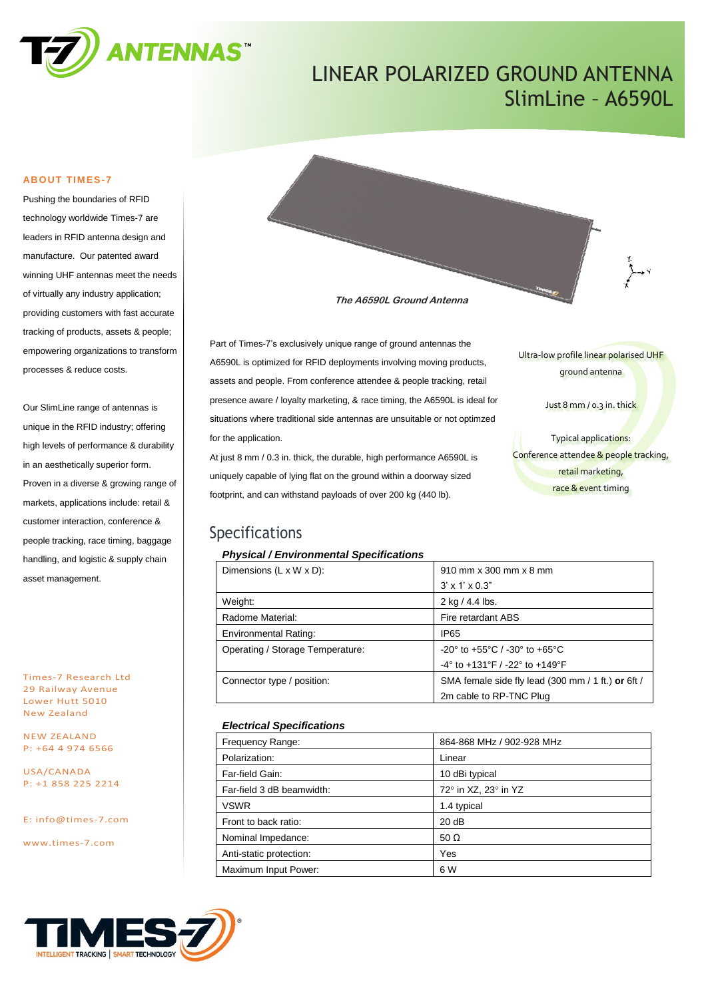

# LINEAR POLARIZED GROUND ANTENNA SlimLine – A6590L

#### **ABOUT TIMES-7**

Pushing the boundaries of RFID technology worldwide Times-7 are leaders in RFID antenna design and manufacture. Our patented award winning UHF antennas meet the needs of virtually any industry application; providing customers with fast accurate tracking of products, assets & people; empowering organizations to transform processes & reduce costs.

Our SlimLine range of antennas is unique in the RFID industry; offering high levels of performance & durability in an aesthetically superior form. Proven in a diverse & growing range of markets, applications include: retail & customer interaction, conference & people tracking, race timing, baggage handling, and logistic & supply chain asset management.

Times-7 Research Ltd 29 Railway Avenue Lower Hutt 5010 New Zealand

NEW ZEALAND P: +64 4 974 6566

USA/CANADA P: +1 858 225 2214

E: [info@times-7.com](mailto:info@times-7.com)

www.times-7.com



**The A6590L Ground Antenna**

Part of Times-7's exclusively unique range of ground antennas the A6590L is optimized for RFID deployments involving moving products, assets and people. From conference attendee & people tracking, retail presence aware / loyalty marketing, & race timing, the A6590L is ideal for situations where traditional side antennas are unsuitable or not optimzed for the application.

At just 8 mm / 0.3 in. thick, the durable, high performance A6590L is uniquely capable of lying flat on the ground within a doorway sized footprint, and can withstand payloads of over 200 kg (440 lb).

### Ultra-low profile linear polarised UHF ground antenna

Just 8 mm / 0.3 in. thick

Typical applications: Conference attendee & people tracking, retail marketing, race & event timing

### Specifications

#### *Physical / Environmental Specifications*

| Dimensions $(L \times W \times D)$ : | 910 mm x 300 mm x 8 mm                                               |
|--------------------------------------|----------------------------------------------------------------------|
|                                      | $3' \times 1' \times 0.3"$                                           |
| Weight:                              | $2$ kg $/$ 4.4 lbs.                                                  |
| Radome Material:                     | Fire retardant ABS                                                   |
| <b>Environmental Rating:</b>         | <b>IP65</b>                                                          |
| Operating / Storage Temperature:     | $-20^{\circ}$ to $+55^{\circ}$ C / $-30^{\circ}$ to $+65^{\circ}$ C  |
|                                      | $-4^{\circ}$ to $+131^{\circ}$ F / $-22^{\circ}$ to $+149^{\circ}$ F |
| Connector type / position:           | SMA female side fly lead (300 mm / 1 ft.) or 6ft /                   |
|                                      | 2m cable to RP-TNC Plug                                              |

#### *Electrical Specifications*

| Frequency Range:          | 864-868 MHz / 902-928 MHz |  |  |
|---------------------------|---------------------------|--|--|
| Polarization:             | Linear                    |  |  |
| Far-field Gain:           | 10 dBi typical            |  |  |
| Far-field 3 dB beamwidth: | 72° in XZ, 23° in YZ      |  |  |
| <b>VSWR</b>               | 1.4 typical               |  |  |
| Front to back ratio:      | 20 dB                     |  |  |
| Nominal Impedance:        | 50 $\Omega$               |  |  |
| Anti-static protection:   | Yes                       |  |  |
| Maximum Input Power:      | 6 W                       |  |  |